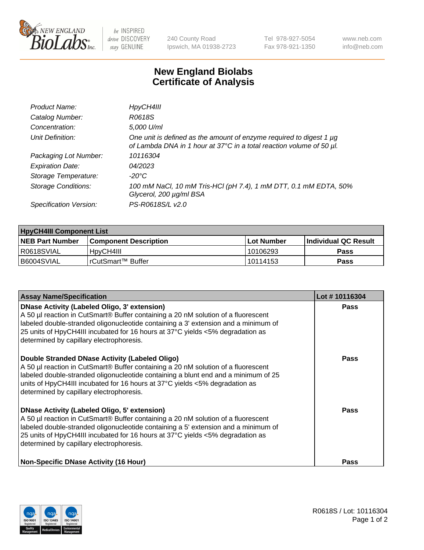

 $be$  INSPIRED drive DISCOVERY stay GENUINE

240 County Road Ipswich, MA 01938-2723 Tel 978-927-5054 Fax 978-921-1350 www.neb.com info@neb.com

## **New England Biolabs Certificate of Analysis**

| Product Name:              | HpyCH4III                                                                                                                                   |
|----------------------------|---------------------------------------------------------------------------------------------------------------------------------------------|
| Catalog Number:            | R0618S                                                                                                                                      |
| Concentration:             | 5,000 U/ml                                                                                                                                  |
| Unit Definition:           | One unit is defined as the amount of enzyme required to digest 1 µg<br>of Lambda DNA in 1 hour at 37°C in a total reaction volume of 50 µl. |
| Packaging Lot Number:      | 10116304                                                                                                                                    |
| <b>Expiration Date:</b>    | 04/2023                                                                                                                                     |
| Storage Temperature:       | -20°C                                                                                                                                       |
| <b>Storage Conditions:</b> | 100 mM NaCl, 10 mM Tris-HCl (pH 7.4), 1 mM DTT, 0.1 mM EDTA, 50%<br>Glycerol, 200 µg/ml BSA                                                 |
| Specification Version:     | PS-R0618S/L v2.0                                                                                                                            |

| <b>HpyCH4III Component List</b> |                              |              |                             |  |  |
|---------------------------------|------------------------------|--------------|-----------------------------|--|--|
| <b>NEB Part Number</b>          | <b>Component Description</b> | l Lot Number | <b>Individual QC Result</b> |  |  |
| I R0618SVIAL                    | 'HpyCH4III                   | 10106293     | <b>Pass</b>                 |  |  |
| B6004SVIAL                      | l rCutSmart™ Buffer_         | 10114153     | Pass                        |  |  |

| <b>Assay Name/Specification</b>                                                                                                                                                                                                                                                                                                                                | Lot #10116304 |
|----------------------------------------------------------------------------------------------------------------------------------------------------------------------------------------------------------------------------------------------------------------------------------------------------------------------------------------------------------------|---------------|
| DNase Activity (Labeled Oligo, 3' extension)<br>A 50 µl reaction in CutSmart® Buffer containing a 20 nM solution of a fluorescent<br>labeled double-stranded oligonucleotide containing a 3' extension and a minimum of<br>25 units of HpyCH4III incubated for 16 hours at 37°C yields <5% degradation as<br>determined by capillary electrophoresis.          | <b>Pass</b>   |
| Double Stranded DNase Activity (Labeled Oligo)<br>A 50 µl reaction in CutSmart® Buffer containing a 20 nM solution of a fluorescent<br>labeled double-stranded oligonucleotide containing a blunt end and a minimum of 25<br>units of HpyCH4III incubated for 16 hours at $37^{\circ}$ C yields <5% degradation as<br>determined by capillary electrophoresis. | <b>Pass</b>   |
| <b>DNase Activity (Labeled Oligo, 5' extension)</b><br>A 50 µl reaction in CutSmart® Buffer containing a 20 nM solution of a fluorescent<br>labeled double-stranded oligonucleotide containing a 5' extension and a minimum of<br>25 units of HpyCH4III incubated for 16 hours at 37°C yields <5% degradation as<br>determined by capillary electrophoresis.   | Pass          |
| <b>Non-Specific DNase Activity (16 Hour)</b>                                                                                                                                                                                                                                                                                                                   | Pass          |